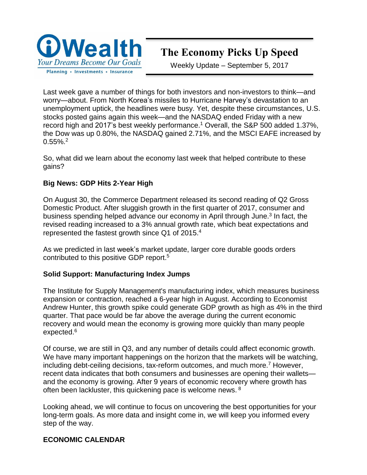

# **The Economy Picks Up Speed**

Weekly Update – September 5, 2017

Last week gave a number of things for both investors and non-investors to think—and worry—about. From North Korea's missiles to Hurricane Harvey's devastation to an unemployment uptick, the headlines were busy. Yet, despite these circumstances, U.S. stocks posted gains again this week—and the NASDAQ ended Friday with a new record high and 2017's best weekly performance.<sup>1</sup> Overall, the S&P 500 added 1.37%, the Dow was up 0.80%, the NASDAQ gained 2.71%, and the MSCI EAFE increased by 0.55%.<sup>2</sup>

So, what did we learn about the economy last week that helped contribute to these gains?

# **Big News: GDP Hits 2-Year High**

On August 30, the Commerce Department released its second reading of Q2 Gross Domestic Product. After sluggish growth in the first quarter of 2017, consumer and business spending helped advance our economy in April through June.<sup>3</sup> In fact, the revised reading increased to a 3% annual growth rate, which beat expectations and represented the fastest growth since Q1 of 2015.<sup>4</sup>

As we predicted in last week's market update, larger core durable goods orders contributed to this positive GDP report.<sup>5</sup>

#### **Solid Support: Manufacturing Index Jumps**

The Institute for Supply Management's manufacturing index, which measures business expansion or contraction, reached a 6-year high in August. According to Economist Andrew Hunter, this growth spike could generate GDP growth as high as 4% in the third quarter. That pace would be far above the average during the current economic recovery and would mean the economy is growing more quickly than many people expected.<sup>6</sup>

Of course, we are still in Q3, and any number of details could affect economic growth. We have many important happenings on the horizon that the markets will be watching, including debt-ceiling decisions, tax-reform outcomes, and much more.<sup>7</sup> However, recent data indicates that both consumers and businesses are opening their wallets and the economy is growing. After 9 years of economic recovery where growth has often been lackluster, this quickening pace is welcome news. <sup>8</sup>

Looking ahead, we will continue to focus on uncovering the best opportunities for your long-term goals. As more data and insight come in, we will keep you informed every step of the way.

#### **ECONOMIC CALENDAR**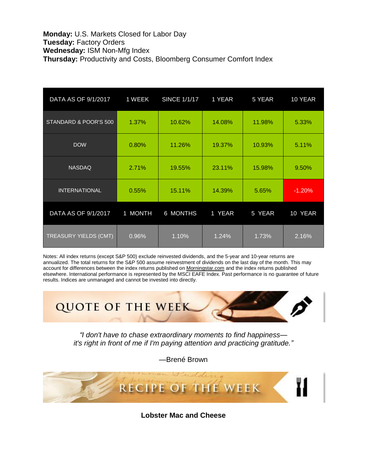#### **Monday:** U.S. Markets Closed for Labor Day **Tuesday:** Factory Orders **Wednesday:** ISM Non-Mfg Index **Thursday:** Productivity and Costs, Bloomberg Consumer Comfort Index

| DATA AS OF 9/1/2017          | 1 WEEK  | <b>SINCE 1/1/17</b> | 1 YEAR | 5 YEAR | 10 YEAR  |
|------------------------------|---------|---------------------|--------|--------|----------|
| STANDARD & POOR'S 500        | 1.37%   | 10.62%              | 14.08% | 11.98% | 5.33%    |
| <b>DOW</b>                   | 0.80%   | 11.26%              | 19.37% | 10.93% | 5.11%    |
| <b>NASDAQ</b>                | 2.71%   | 19.55%              | 23.11% | 15.98% | 9.50%    |
| <b>INTERNATIONAL</b>         | 0.55%   | 15.11%              | 14.39% | 5.65%  | $-1.20%$ |
| DATA AS OF 9/1/2017          | 1 MONTH | 6 MONTHS            | 1 YEAR | 5 YEAR | 10 YEAR  |
| <b>TREASURY YIELDS (CMT)</b> | 0.96%   | 1.10%               | 1.24%  | 1.73%  | 2.16%    |

Notes: All index returns (except S&P 500) exclude reinvested dividends, and the 5-year and 10-year returns are annualized. The total returns for the S&P 500 assume reinvestment of dividends on the last day of the month. This may account for differences between the index returns published on [Morningstar.com](http://morningstar.com/) and the index returns published elsewhere. International performance is represented by the MSCI EAFE Index. Past performance is no guarantee of future results. Indices are unmanaged and cannot be invested into directly.



*"I don't have to chase extraordinary moments to find happiness it's right in front of me if I'm paying attention and practicing gratitude."*

—Brené Brown



**Lobster Mac and Cheese**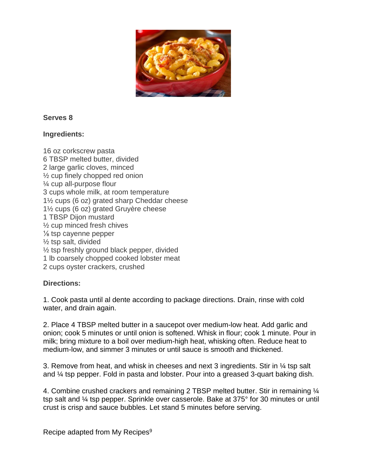

#### **Serves 8**

#### **Ingredients:**

16 oz corkscrew pasta 6 TBSP melted butter, divided 2 large garlic cloves, minced ½ cup finely chopped red onion ¼ cup all-purpose flour 3 cups whole milk, at room temperature 1½ cups (6 oz) grated sharp Cheddar cheese 1½ cups (6 oz) grated Gruyère cheese 1 TBSP Dijon mustard ½ cup minced fresh chives ⅛ tsp cayenne pepper ½ tsp salt, divided ½ tsp freshly ground black pepper, divided 1 lb coarsely chopped cooked lobster meat 2 cups oyster crackers, crushed

#### **Directions:**

1. Cook pasta until al dente according to package directions. Drain, rinse with cold water, and drain again.

2. Place 4 TBSP melted butter in a saucepot over medium-low heat. Add garlic and onion; cook 5 minutes or until onion is softened. Whisk in flour; cook 1 minute. Pour in milk; bring mixture to a boil over medium-high heat, whisking often. Reduce heat to medium-low, and simmer 3 minutes or until sauce is smooth and thickened.

3. Remove from heat, and whisk in cheeses and next 3 ingredients. Stir in ¼ tsp salt and ¼ tsp pepper. Fold in pasta and lobster. Pour into a greased 3-quart baking dish.

4. Combine crushed crackers and remaining 2 TBSP melted butter. Stir in remaining ¼ tsp salt and ¼ tsp pepper. Sprinkle over casserole. Bake at 375° for 30 minutes or until crust is crisp and sauce bubbles. Let stand 5 minutes before serving.

Recipe adapted from My Recipes<sup>9</sup>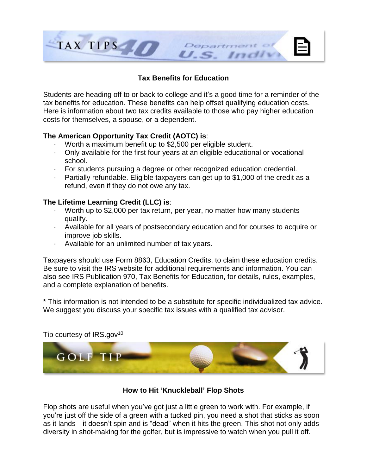

# **Tax Benefits for Education**

Students are heading off to or back to college and it's a good time for a reminder of the tax benefits for education. These benefits can help offset qualifying education costs. Here is information about two tax credits available to those who pay higher education costs for themselves, a spouse, or a dependent.

# **The American Opportunity Tax Credit (AOTC) is**:

- · Worth a maximum benefit up to \$2,500 per eligible student.
- · Only available for the first four years at an eligible educational or vocational school.
- · For students pursuing a degree or other recognized education credential.
- · Partially refundable. Eligible taxpayers can get up to \$1,000 of the credit as a refund, even if they do not owe any tax.

# **The Lifetime Learning Credit (LLC) is**:

- · Worth up to \$2,000 per tax return, per year, no matter how many students qualify.
- · Available for all years of postsecondary education and for courses to acquire or improve job skills.
- · Available for an unlimited number of tax years.

Taxpayers should use Form 8863, Education Credits, to claim these education credits. Be sure to visit the IRS [website](https://www.irs.gov/newsroom/learn-about-tax-benefits-for-education) for additional requirements and information. You can also see IRS Publication 970, Tax Benefits for Education, for details, rules, examples, and a complete explanation of benefits.

\* This information is not intended to be a substitute for specific individualized tax advice. We suggest you discuss your specific tax issues with a qualified tax advisor.



# Tip courtesy of  $IRS.gov^{10}$

# **How to Hit 'Knuckleball' Flop Shots**

Flop shots are useful when you've got just a little green to work with. For example, if you're just off the side of a green with a tucked pin, you need a shot that sticks as soon as it lands—it doesn't spin and is "dead" when it hits the green. This shot not only adds diversity in shot-making for the golfer, but is impressive to watch when you pull it off.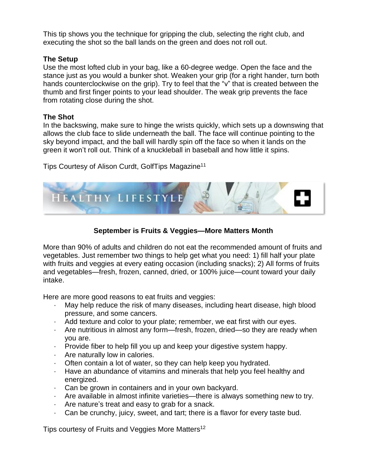This tip shows you the technique for gripping the club, selecting the right club, and executing the shot so the ball lands on the green and does not roll out.

# **The Setup**

Use the most lofted club in your bag, like a 60-degree wedge. Open the face and the stance just as you would a bunker shot. Weaken your grip (for a right hander, turn both hands counterclockwise on the grip). Try to feel that the "v" that is created between the thumb and first finger points to your lead shoulder. The weak grip prevents the face from rotating close during the shot.

# **The Shot**

In the backswing, make sure to hinge the wrists quickly, which sets up a downswing that allows the club face to slide underneath the ball. The face will continue pointing to the sky beyond impact, and the ball will hardly spin off the face so when it lands on the green it won't roll out. Think of a knuckleball in baseball and how little it spins.

Tips Courtesy of Alison Curdt, GolfTips Magazine<sup>11</sup>



# **September is Fruits & Veggies—More Matters Month**

More than 90% of adults and children do not eat the recommended amount of fruits and vegetables. Just remember two things to help get what you need: 1) fill half your plate with fruits and veggies at every eating occasion (including snacks); 2) All forms of fruits and vegetables—fresh, frozen, canned, dried, or 100% juice—count toward your daily intake.

Here are more good reasons to eat fruits and veggies:

- · May help reduce the risk of many diseases, including heart disease, high blood pressure, and some cancers.
- · Add texture and color to your plate; remember, we eat first with our eyes.
- · Are nutritious in almost any form—fresh, frozen, dried—so they are ready when you are.
- · Provide fiber to help fill you up and keep your digestive system happy.
- · Are naturally low in calories.
- · Often contain a lot of water, so they can help keep you hydrated.
- · Have an abundance of vitamins and minerals that help you feel healthy and energized.
- · Can be grown in containers and in your own backyard.
- · Are available in almost infinite varieties—there is always something new to try.
- · Are nature's treat and easy to grab for a snack.
- · Can be crunchy, juicy, sweet, and tart; there is a flavor for every taste bud.

Tips courtesy of Fruits and Veggies More Matters<sup>12</sup>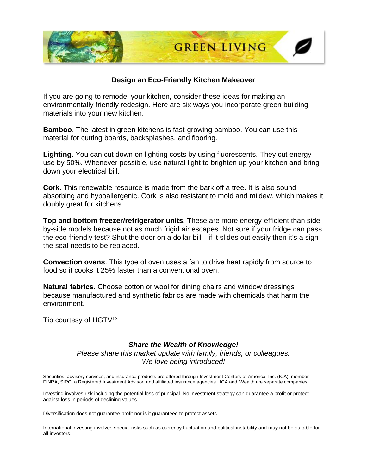

#### **Design an Eco-Friendly Kitchen Makeover**

If you are going to remodel your kitchen, consider these ideas for making an environmentally friendly redesign. Here are six ways you incorporate green building materials into your new kitchen.

**Bamboo**. The latest in green kitchens is fast-growing bamboo. You can use this material for cutting boards, backsplashes, and flooring.

**Lighting**. You can cut down on lighting costs by using fluorescents. They cut energy use by 50%. Whenever possible, use natural light to brighten up your kitchen and bring down your electrical bill.

**Cork**. This renewable resource is made from the bark off a tree. It is also soundabsorbing and hypoallergenic. Cork is also resistant to mold and mildew, which makes it doubly great for kitchens.

**Top and bottom freezer/refrigerator units**. These are more energy-efficient than sideby-side models because not as much frigid air escapes. Not sure if your fridge can pass the eco-friendly test? Shut the door on a dollar bill—if it slides out easily then it's a sign the seal needs to be replaced.

**Convection ovens**. This type of oven uses a fan to drive heat rapidly from source to food so it cooks it 25% faster than a conventional oven.

**Natural fabrics**. Choose cotton or wool for dining chairs and window dressings because manufactured and synthetic fabrics are made with chemicals that harm the environment.

Tip courtesy of HGTV<sup>13</sup>

#### *Share the Wealth of Knowledge!*

*Please share this market update with family, friends, or colleagues. We love being introduced!*

Securities, advisory services, and insurance products are offered through Investment Centers of America, Inc. (ICA), member FINRA, SIPC, a Registered Investment Advisor, and affiliated insurance agencies. ICA and iWealth are separate companies.

Investing involves risk including the potential loss of principal. No investment strategy can guarantee a profit or protect against loss in periods of declining values.

Diversification does not guarantee profit nor is it guaranteed to protect assets.

International investing involves special risks such as currency fluctuation and political instability and may not be suitable for all investors.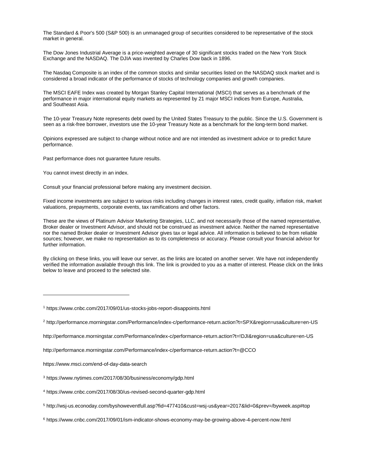The Standard & Poor's 500 (S&P 500) is an unmanaged group of securities considered to be representative of the stock market in general.

The Dow Jones Industrial Average is a price-weighted average of 30 significant stocks traded on the New York Stock Exchange and the NASDAQ. The DJIA was invented by Charles Dow back in 1896.

The Nasdaq Composite is an index of the common stocks and similar securities listed on the NASDAQ stock market and is considered a broad indicator of the performance of stocks of technology companies and growth companies.

The MSCI EAFE Index was created by Morgan Stanley Capital International (MSCI) that serves as a benchmark of the performance in major international equity markets as represented by 21 major MSCI indices from Europe, Australia, and Southeast Asia.

The 10-year Treasury Note represents debt owed by the United States Treasury to the public. Since the U.S. Government is seen as a risk-free borrower, investors use the 10-year Treasury Note as a benchmark for the long-term bond market.

Opinions expressed are subject to change without notice and are not intended as investment advice or to predict future performance.

Past performance does not guarantee future results.

You cannot invest directly in an index.

Consult your financial professional before making any investment decision.

Fixed income investments are subject to various risks including changes in interest rates, credit quality, inflation risk, market valuations, prepayments, corporate events, tax ramifications and other factors.

These are the views of Platinum Advisor Marketing Strategies, LLC, and not necessarily those of the named representative, Broker dealer or Investment Advisor, and should not be construed as investment advice. Neither the named representative nor the named Broker dealer or Investment Advisor gives tax or legal advice. All information is believed to be from reliable sources; however, we make no representation as to its completeness or accuracy. Please consult your financial advisor for further information.

By clicking on these links, you will leave our server, as the links are located on another server. We have not independently verified the information available through this link. The link is provided to you as a matter of interest. Please click on the links below to leave and proceed to the selected site.

[http://performance.morningstar.com/Performance/index-c/performance-return.action?t=!DJI&region=usa&culture=en-US](http://performance.morningstar.com/Performance/index-c/performance-return.action?t=!DJI®ion=usa&culture=en-US)

<http://performance.morningstar.com/Performance/index-c/performance-return.action?t=@CCO>

<https://www.msci.com/end-of-day-data-search>

 $\overline{a}$ 

<sup>1</sup> <https://www.cnbc.com/2017/09/01/us-stocks-jobs-report-disappoints.html>

<sup>&</sup>lt;sup>2</sup> [http://performance.morningstar.com/Performance/index-c/performance-return.action?t=SPX&region=usa&culture=en-US](http://performance.morningstar.com/Performance/index-c/performance-return.action?t=SPX®ion=usa&culture=en-US)

<sup>3</sup> <https://www.nytimes.com/2017/08/30/business/economy/gdp.html>

<sup>4</sup> <https://www.cnbc.com/2017/08/30/us-revised-second-quarter-gdp.html>

<sup>5</sup> <http://wsj-us.econoday.com/byshoweventfull.asp?fid=477410&cust=wsj-us&year=2017&lid=0&prev=/byweek.asp#top>

<sup>6</sup> <https://www.cnbc.com/2017/09/01/ism-indicator-shows-economy-may-be-growing-above-4-percent-now.html>